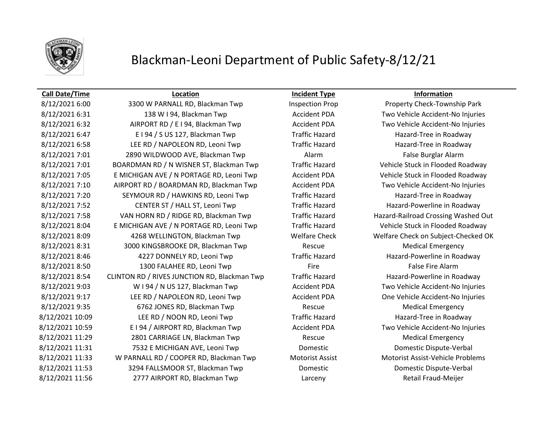

## **Call Date/Time Location Incident Type Information**

8/12/2021 6:00 3300 W PARNALL RD, Blackman Twp Inspection Prop Property Check-Township Park 8/12/2021 6:31 138 W I 94, Blackman Twp Accident PDA Two Vehicle Accident-No Injuries 8/12/2021 6:32 AIRPORT RD / E I 94, Blackman Twp **Accident PDA** Two Vehicle Accident-No Injuries 8/12/2021 6:47 E I 94 / S US 127, Blackman Twp Traffic Hazard Hazard-Tree in Roadway 8/12/2021 6:58 LEE RD / NAPOLEON RD, Leoni Twp Traffic Hazard Hazard Hazard-Tree in Roadway 8/12/2021 7:01 2890 WILDWOOD AVE, Blackman Twp Alarm Alarm False Burglar Alarm 8/12/2021 7:01 BOARDMAN RD / N WISNER ST, Blackman Twp Traffic Hazard Vehicle Stuck in Flooded Roadway 8/12/2021 7:05 E MICHIGAN AVE / N PORTAGE RD, Leoni Twp Accident PDA Vehicle Stuck in Flooded Roadway 8/12/2021 7:10 AIRPORT RD / BOARDMAN RD, Blackman Twp Accident PDA Two Vehicle Accident-No Injuries 8/12/2021 7:20 SEYMOUR RD / HAWKINS RD, Leoni Twp Traffic Hazard Hazard Hazard-Tree in Roadway 8/12/2021 7:52 CENTER ST / HALL ST, Leoni Twp Traffic Hazard Hazard Hazard-Powerline in Roadway 8/12/2021 7:58 VAN HORN RD / RIDGE RD, Blackman Twp Traffic Hazard Hazard-Railroad Crossing Washed Out 8/12/2021 8:04 E MICHIGAN AVE / N PORTAGE RD, Leoni Twp Traffic Hazard Vehicle Stuck in Flooded Roadway 8/12/2021 8:09 4268 WELLINGTON, Blackman Twp Welfare Check Welfare Check on Subject-Checked OK 8/12/2021 8:31 3000 KINGSBROOKE DR, Blackman Twp Rescue Rescue Medical Emergency 8/12/2021 8:46 4227 DONNELY RD, Leoni Twp Traffic Hazard Hazard Hazard-Powerline in Roadway 8/12/2021 8:50 1300 FALAHEE RD, Leoni Twp Fire Fire Fire False Fire Alarm 8/12/2021 8:54 CLINTON RD / RIVES JUNCTION RD, Blackman Twp Traffic Hazard Hazard-Powerline in Roadway 8/12/2021 9:03 W I 94 / N US 127, Blackman Twp Accident PDA Two Vehicle Accident-No Injuries 8/12/2021 9:17 LEE RD / NAPOLEON RD, Leoni Twp Accident PDA One Vehicle Accident-No Injuries 8/12/2021 9:35 6762 JONES RD, Blackman Twp Rescue Rescue Medical Emergency 8/12/2021 10:09 LEE RD / NOON RD, Leoni Twp Traffic Hazard Hazard Hazard-Tree in Roadway 8/12/2021 10:59 E I 94 / AIRPORT RD, Blackman Twp Accident PDA Two Vehicle Accident-No Injuries 8/12/2021 11:29 2801 CARRIAGE LN, Blackman Twp Rescue Rescue Medical Emergency 8/12/2021 11:31 7532 E MICHIGAN AVE, Leoni Twp Domestic Domestic Domestic Dispute-Verbal 8/12/2021 11:33 W PARNALL RD / COOPER RD, Blackman Twp Motorist Assist Motorist Assist-Vehicle Problems 8/12/2021 11:53 3294 FALLSMOOR ST, Blackman Twp Domestic Domestic Dispute-Verbal 8/12/2021 11:56 2777 AIRPORT RD, Blackman Twp Larceny Retail Fraud-Meijer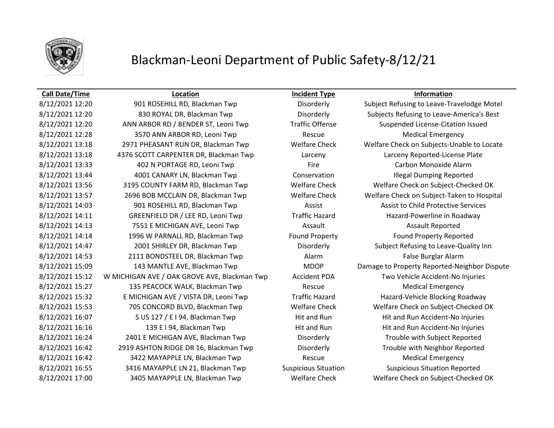

## **Call Date/Time Location Incident Type Information**

8/12/2021 12:20 901 ROSEHILL RD, Blackman Twp Disorderly Subject Refusing to Leave-Travelodge Motel 8/12/2021 12:20 830 ROYAL DR, Blackman Twp Disorderly Subjects Refusing to Leave-America's Best 8/12/2021 12:20 ANN ARBOR RD / BENDER ST, Leoni Twp Traffic Offense Suspended License-Citation Issued 8/12/2021 12:28 3570 ANN ARBOR RD, Leoni Twp Rescue Rescue Medical Emergency 8/12/2021 13:18 2971 PHEASANT RUN DR, Blackman Twp Welfare Check Welfare Check on Subjects-Unable to Locate 8/12/2021 13:18 4376 SCOTT CARPENTER DR, Blackman Twp Larceny Larceny Reported-License Plate 8/12/2021 13:33 402 N PORTAGE RD, Leoni Twp Fire Fire Carbon Monoxide Alarm 8/12/2021 13:44 4001 CANARY LN, Blackman Twp Conservation Illegal Dumping Reported 8/12/2021 13:56 3195 COUNTY FARM RD, Blackman Twp Welfare Check Welfare Check on Subject-Checked OK 8/12/2021 13:57 2696 BOB MCCLAIN DR, Blackman Twp Welfare Check Welfare Check on Subject-Taken to Hospital 8/12/2021 14:03 901 ROSEHILL RD, Blackman Twp Assist Assist Assist to Child Protective Services 8/12/2021 14:11 GREENFIELD DR / LEE RD, Leoni Twp Traffic Hazard Hazard Hazard-Powerline in Roadway 8/12/2021 14:13 7551 E MICHIGAN AVE, Leoni Twp **Assault** Assault Assault Assault Reported 8/12/2021 14:14 1996 W PARNALL RD, Blackman Twp Found Property Found Property Found Property Reported 8/12/2021 14:47 2001 SHIRLEY DR, Blackman Twp Disorderly Subject Refusing to Leave-Quality Inn 8/12/2021 14:53 2111 BONDSTEEL DR, Blackman Twp Alarm Alarm False Burglar Alarm 8/12/2021 15:09 143 MANTLE AVE, Blackman Twp MDOP Damage to Property Reported-Neighbor Dispute 8/12/2021 15:12 W MICHIGAN AVE / OAK GROVE AVE, Blackman Twp Accident PDA Two Vehicle Accident-No Injuries 8/12/2021 15:27 135 PEACOCK WALK, Blackman Twp Rescue Rescue Medical Emergency 8/12/2021 15:32 E MICHIGAN AVE / VISTA DR, Leoni Twp Traffic Hazard Hazard Hazard-Vehicle Blocking Roadway 8/12/2021 15:53 705 CONCORD BLVD, Blackman Twp Welfare Check Welfare Check on Subject-Checked OK 8/12/2021 16:07 S US 127 / E I 94, Blackman Twp Hit and Run Hit and Run Hit and Run Accident-No Injuries 8/12/2021 16:16 139 E I 94, Blackman Twp Hit and Run Hit and Run Hit and Run Accident-No Injuries 8/12/2021 16:24 2401 E MICHIGAN AVE, Blackman Twp Disorderly Trouble with Subject Reported 8/12/2021 16:42 2919 ASHTON RIDGE DR 16, Blackman Twp Disorderly Trouble with Neighbor Reported 8/12/2021 16:42 3422 MAYAPPLE LN, Blackman Twp Rescue Medical Emergency 8/12/2021 16:55 3416 MAYAPPLE LN 21, Blackman Twp Suspicious Situation Suspicious Situation Reported 8/12/2021 17:00 3405 MAYAPPLE LN, Blackman Twp Welfare Check Welfare Check on Subject-Checked OK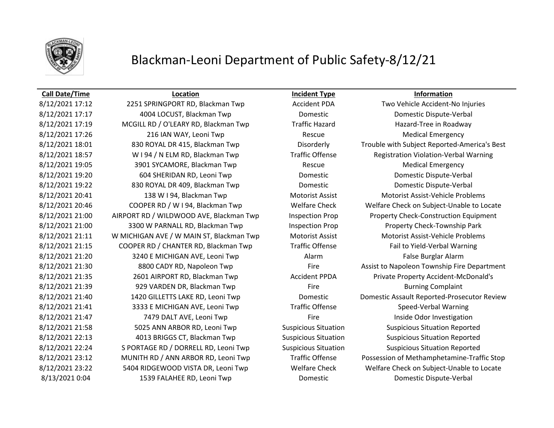

## **Call Date/Time Location Incident Type Information**

8/12/2021 17:17 4004 LOCUST, Blackman Twp Domestic Domestic Dispute-Verbal 8/12/2021 17:19 MCGILL RD / O'LEARY RD, Blackman Twp Traffic Hazard Hazard Hazard-Tree in Roadway 8/12/2021 17:26 216 IAN WAY, Leoni Twp Rescue Rescue Medical Emergency 8/12/2021 19:05 3901 SYCAMORE, Blackman Twp Rescue Rescue Medical Emergency 8/12/2021 19:20 604 SHERIDAN RD, Leoni Twp Domestic Domestic Domestic Dispute-Verbal 8/12/2021 19:22 830 ROYAL DR 409, Blackman Twp Domestic Domestic Domestic Dispute-Verbal 8/12/2021 20:41 138 W I 94, Blackman Twp Motorist Assist Motorist Assist-Vehicle Problems 8/12/2021 21:00 3300 W PARNALL RD, Blackman Twp Inspection Prop Property Check-Township Park 8/12/2021 21:11 W MICHIGAN AVE / W MAIN ST, Blackman Twp Motorist Assist Motorist Assist-Vehicle Problems 8/12/2021 21:15 COOPER RD / CHANTER RD, Blackman Twp Traffic Offense Fail to Yield-Verbal Warning 8/12/2021 21:20 3240 E MICHIGAN AVE, Leoni Twp Alarm Alarm False Burglar Alarm 8/12/2021 21:39 929 VARDEN DR, Blackman Twp Fire Fire Burning Complaint 8/12/2021 21:41 3333 E MICHIGAN AVE, Leoni Twp Traffic Offense Speed-Verbal Warning 8/12/2021 21:47 **7479 DALT AVE, Leoni Twp** Fire Fire Inside Odor Investigation 8/12/2021 21:58 5025 ANN ARBOR RD, Leoni Twp Suspicious Situation Suspicious Situation Reported 8/12/2021 22:13 4013 BRIGGS CT, Blackman Twp Suspicious Situation Suspicious Situation Reported 8/12/2021 22:24 S PORTAGE RD / DORRELL RD, Leoni Twp Suspicious Situation Suspicious Situation Reported 8/13/2021 0:04 1539 FALAHEE RD, Leoni Twp Domestic Domestic Dispute-Verbal

8/12/2021 17:12 2251 SPRINGPORT RD, Blackman Twp Accident PDA Two Vehicle Accident-No Injuries 8/12/2021 18:01 830 ROYAL DR 415, Blackman Twp Disorderly Trouble with Subject Reported-America's Best 8/12/2021 18:57 W I 94 / N ELM RD, Blackman Twp Traffic Offense Registration Violation-Verbal Warning 8/12/2021 20:46 COOPER RD / W I 94, Blackman Twp Welfare Check Welfare Check on Subject-Unable to Locate 8/12/2021 21:00 AIRPORT RD / WILDWOOD AVE, Blackman Twp Inspection Prop Property Check-Construction Equipment 8/12/2021 21:30 8800 CADY RD, Napoleon Twp Fire Fire Assist to Napoleon Township Fire Department 8/12/2021 21:35 2601 AIRPORT RD, Blackman Twp Accident PPDA Private Property Accident-McDonald's 8/12/2021 21:40 1420 GILLETTS LAKE RD, Leoni Twp Domestic Domestic Assault Reported-Prosecutor Review 8/12/2021 23:12 MUNITH RD / ANN ARBOR RD, Leoni Twp Traffic Offense Possession of Methamphetamine-Traffic Stop 8/12/2021 23:22 5404 RIDGEWOOD VISTA DR, Leoni Twp Welfare Check Welfare Check on Subject-Unable to Locate